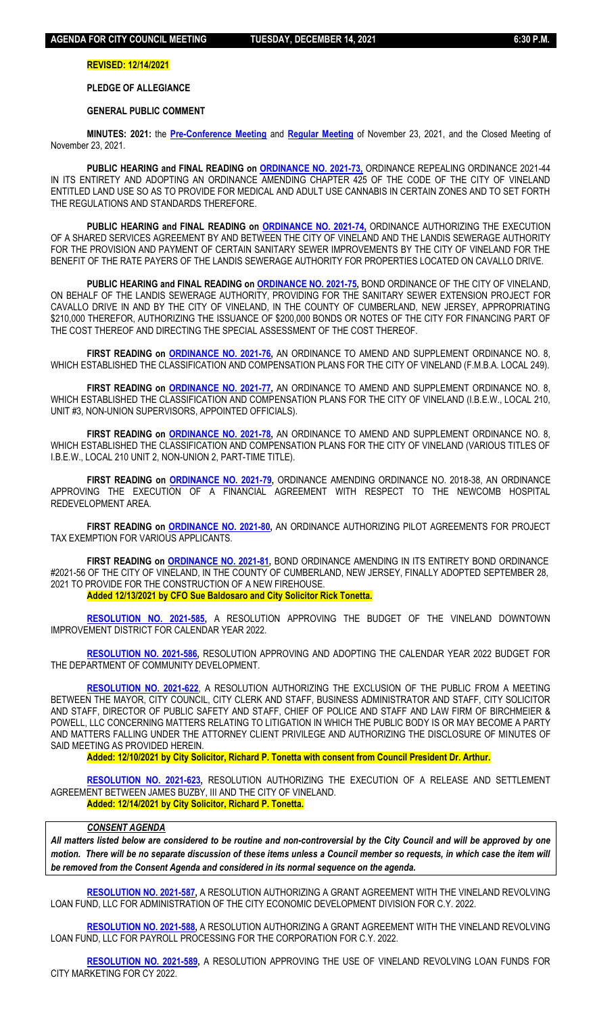### **REVISED: 12/14/2021**

## **PLEDGE OF ALLEGIANCE**

### **GENERAL PUBLIC COMMENT**

**MINUTES: 2021:** the **[Pre-Conference Meeting](//archivecouncil/Minutes/2021/12-2021/12-14-2021/11-23-2021%20Pre-Meeting%20Minutes.pdf)** and **[Regular Meeting](/ArchiveCouncil/Minutes/2021/12-2021/12-14-2021/11-23-2021-Regular%20Meeting%20Minutes.pdf)** of November 23, 2021, and the Closed Meeting of November 23, 2021.

**PUBLIC HEARING and FINAL READING on [ORDINANCE NO. 2021-73,](../21-11-23/o-amend1-Medical%20and%20Adult%20Use%20Cannabis-Land%20Use.pdf)** ORDINANCE REPEALING ORDINANCE 2021-44 IN ITS ENTIRETY AND ADOPTING AN ORDINANCE AMENDING CHAPTER 425 OF THE CODE OF THE CITY OF VINELAND ENTITLED LAND USE SO AS TO PROVIDE FOR MEDICAL AND ADULT USE CANNABIS IN CERTAIN ZONES AND TO SET FORTH THE REGULATIONS AND STANDARDS THEREFORE.

**PUBLIC HEARING and FINAL READING on [ORDINANCE NO. 2021-74,](../21-11-23/o-shared%20services-LSA%20sewer%20improv-Cavallo%20Dr.pdf)** ORDINANCE AUTHORIZING THE EXECUTION OF A SHARED SERVICES AGREEMENT BY AND BETWEEN THE CITY OF VINELAND AND THE LANDIS SEWERAGE AUTHORITY FOR THE PROVISION AND PAYMENT OF CERTAIN SANITARY SEWER IMPROVEMENTS BY THE CITY OF VINELAND FOR THE BENEFIT OF THE RATE PAYERS OF THE LANDIS SEWERAGE AUTHORITY FOR PROPERTIES LOCATED ON CAVALLO DRIVE.

**PUBLIC HEARING and FINAL READING o[n ORDINANCE NO. 2021-75,](../21-12-14/o-bond%20spec.%20assessment-Cavallo%20Dr%20sewer%20exten.pdf)** BOND ORDINANCE OF THE CITY OF VINELAND, ON BEHALF OF THE LANDIS SEWERAGE AUTHORITY, PROVIDING FOR THE SANITARY SEWER EXTENSION PROJECT FOR CAVALLO DRIVE IN AND BY THE CITY OF VINELAND, IN THE COUNTY OF CUMBERLAND, NEW JERSEY, APPROPRIATING \$210,000 THEREFOR, AUTHORIZING THE ISSUANCE OF \$200,000 BONDS OR NOTES OF THE CITY FOR FINANCING PART OF THE COST THEREOF AND DIRECTING THE SPECIAL ASSESSMENT OF THE COST THEREOF.

**FIRST READING on [ORDINANCE NO. 2021-76,](../21-12-14/o-salaries1-sched%2032%20FMBA%20249.pdf)** AN ORDINANCE TO AMEND AND SUPPLEMENT ORDINANCE NO. 8, WHICH ESTABLISHED THE CLASSIFICATION AND COMPENSATION PLANS FOR THE CITY OF VINELAND (F.M.B.A. LOCAL 249).

FIRST READING on **ORDINANCE NO. 2021-77**, AN ORDINANCE TO AMEND AND SUPPLEMENT ORDINANCE NO. 8, WHICH ESTABLISHED THE CLASSIFICATION AND COMPENSATION PLANS FOR THE CITY OF VINELAND (I.B.E.W., LOCAL 210, UNIT #3, NON-UNION SUPERVISORS, APPOINTED OFFICIALS).

**FIRST READING on [ORDINANCE NO. 2021-78,](../21-12-14/o-salaries3-sched%2033%20Unit%202%20%20Part%20Time%20titles.pdf)** AN ORDINANCE TO AMEND AND SUPPLEMENT ORDINANCE NO. 8, WHICH ESTABLISHED THE CLASSIFICATION AND COMPENSATION PLANS FOR THE CITY OF VINELAND (VARIOUS TITLES OF I.B.E.W., LOCAL 210 UNIT 2, NON-UNION 2, PART-TIME TITLE).

**FIRST READING on [ORDINANCE NO. 2021-79,](../21-12-14/o-amend1-Newcomb%20Redev%20Agreement-2018-38.pdf)** ORDINANCE AMENDING ORDINANCE NO. 2018-38, AN ORDINANCE APPROVING THE EXECUTION OF A FINANCIAL AGREEMENT WITH RESPECT TO THE NEWCOMB HOSPITAL REDEVELOPMENT AREA.

**FIRST READING on [ORDINANCE NO. 2021-80,](../21-12-14/o-pilots1.pdf)** AN ORDINANCE AUTHORIZING PILOT AGREEMENTS FOR PROJECT TAX EXEMPTION FOR VARIOUS APPLICANTS.

**FIRST READING on [ORDINANCE NO. 2021-81,](../21-12-14/o-amend2-bond%20ord-new%20fire%20station%20-%20for%20merge.pdf)** BOND ORDINANCE AMENDING IN ITS ENTIRETY BOND ORDINANCE #2021-56 OF THE CITY OF VINELAND, IN THE COUNTY OF CUMBERLAND, NEW JERSEY, FINALLY ADOPTED SEPTEMBER 28, 2021 TO PROVIDE FOR THE CONSTRUCTION OF A NEW FIREHOUSE.

# **Added 12/13/2021 by CFO Sue Baldosaro and City Solicitor Rick Tonetta.**

**[RESOLUTION NO. 2021-585,](../21-12-14/r-vdid1-budget-approval.pdf)** A RESOLUTION APPROVING THE BUDGET OF THE VINELAND DOWNTOWN IMPROVEMENT DISTRICT FOR CALENDAR YEAR 2022.

**[RESOLUTION NO. 2021-586,](../21-12-14/r-adopt-CDP%202022%20buget.pdf)** RESOLUTION APPROVING AND ADOPTING THE CALENDAR YEAR 2022 BUDGET FOR THE DEPARTMENT OF COMMUNITY DEVELOPMENT.

**[RESOLUTION NO. 2021-622](../21-12-14/r-closed%20session-litigation-Buzby%20vs%20COV.pdf)**, A RESOLUTION AUTHORIZING THE EXCLUSION OF THE PUBLIC FROM A MEETING BETWEEN THE MAYOR, CITY COUNCIL, CITY CLERK AND STAFF, BUSINESS ADMINISTRATOR AND STAFF, CITY SOLICITOR AND STAFF, DIRECTOR OF PUBLIC SAFETY AND STAFF, CHIEF OF POLICE AND STAFF AND LAW FIRM OF BIRCHMEIER & POWELL, LLC CONCERNING MATTERS RELATING TO LITIGATION IN WHICH THE PUBLIC BODY IS OR MAY BECOME A PARTY AND MATTERS FALLING UNDER THE ATTORNEY CLIENT PRIVILEGE AND AUTHORIZING THE DISCLOSURE OF MINUTES OF SAID MEETING AS PROVIDED HEREIN.

**Added: 12/10/2021 by City Solicitor, Richard P. Tonetta with consent from Council President Dr. Arthur.**

**[RESOLUTION NO. 2021-623,](../21-12-14/r-release%20and%20settlement%20agreement-Buzby.pdf)** RESOLUTION AUTHORIZING THE EXECUTION OF A RELEASE AND SETTLEMENT AGREEMENT BETWEEN JAMES BUZBY, III AND THE CITY OF VINELAND. **Added: 12/14/2021 by City Solicitor, Richard P. Tonetta.**

# *CONSENT AGENDA*

*All matters listed below are considered to be routine and non-controversial by the City Council and will be approved by one motion. There will be no separate discussion of these items unless a Council member so requests, in which case the item will be removed from the Consent Agenda and considered in its normal sequence on the agenda.*

**[RESOLUTION NO. 2021-587,](../21-12-14/r-agreement1-operating-budget.pdf)** A RESOLUTION AUTHORIZING A GRANT AGREEMENT WITH THE VINELAND REVOLVING LOAN FUND, LLC FOR ADMINISTRATION OF THE CITY ECONOMIC DEVELOPMENT DIVISION FOR C.Y. 2022.

**[RESOLUTION NO. 2021-588,](../21-12-14/r-agreement2-uez-payroll.pdf)** A RESOLUTION AUTHORIZING A GRANT AGREEMENT WITH THE VINELAND REVOLVING LOAN FUND, LLC FOR PAYROLL PROCESSING FOR THE CORPORATION FOR C.Y. 2022.

**[RESOLUTION NO. 2021-589,](../21-12-14/r-revolving%20loan2-city-marketing-budget.pdf)** A RESOLUTION APPROVING THE USE OF VINELAND REVOLVING LOAN FUNDS FOR CITY MARKETING FOR CY 2022.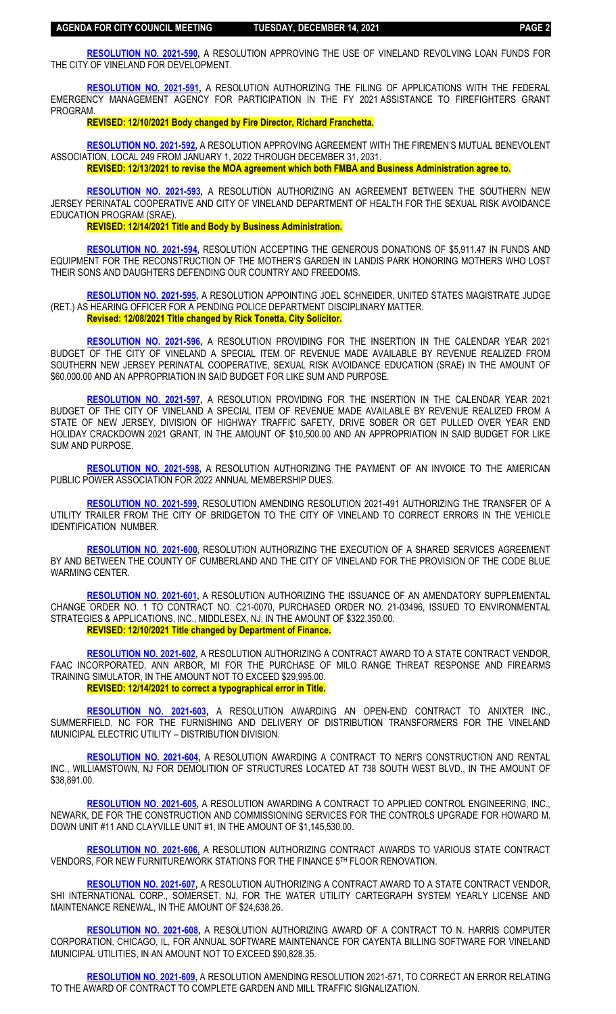**[RESOLUTION NO. 2021-590,](../21-12-14/r-revolving%20loan3-vld-development-budget.pdf)** A RESOLUTION APPROVING THE USE OF VINELAND REVOLVING LOAN FUNDS FOR THE CITY OF VINELAND FOR DEVELOPMENT.

**[RESOLUTION NO. 2021-591,](../21-12-14/r-app1-AFG.pdf)** A RESOLUTION AUTHORIZING THE FILING OF APPLICATIONS WITH THE FEDERAL EMERGENCY MANAGEMENT AGENCY FOR PARTICIPATION IN THE FY 2021 ASSISTANCE TO FIREFIGHTERS GRANT PROGRAM.

#### **REVISED: 12/10/2021 Body changed by Fire Director, Richard Franchetta.**

**[RESOLUTION NO. 2021-592,](../21-12-14/R-Ratify-FMBA-249.pdf)** A RESOLUTION APPROVING AGREEMENT WITH THE FIREMEN'S MUTUAL BENEVOLENT ASSOCIATION, LOCAL 249 FROM JANUARY 1, 2022 THROUGH DECEMBER 31, 2031.

**REVISED: 12/13/2021 to revise the MOA agreement which both FMBA and Business Administration agree to.**

**[RESOLUTION NO. 2021-593,](../21-12-14/r-agreement3-TOP%20and%20Love%20Notes-VHD.pdf)** A RESOLUTION AUTHORIZING AN AGREEMENT BETWEEN THE SOUTHERN NEW JERSEY PERINATAL COOPERATIVE AND CITY OF VINELAND DEPARTMENT OF HEALTH FOR THE SEXUAL RISK AVOIDANCE EDUCATION PROGRAM (SRAE).

### **REVISED: 12/14/2021 Title and Body by Business Administration.**

**[RESOLUTION NO. 2021-594,](../21-12-14/r-accept-donation%20for%20mothers%20garden.pdf)** RESOLUTION ACCEPTING THE GENEROUS DONATIONS OF \$5,911.47 IN FUNDS AND EQUIPMENT FOR THE RECONSTRUCTION OF THE MOTHER'S GARDEN IN LANDIS PARK HONORING MOTHERS WHO LOST THEIR SONS AND DAUGHTERS DEFENDING OUR COUNTRY AND FREEDOMS.

**[RESOLUTION NO. 2021-595,](../21-12-14/r-appoint1-hearing%20officer-PD%20disciplinary%20matters.pdf)** A RESOLUTION APPOINTING JOEL SCHNEIDER, UNITED STATES MAGISTRATE JUDGE (RET.) AS HEARING OFFICER FOR A PENDING POLICE DEPARTMENT DISCIPLINARY MATTER. **Revised: 12/08/2021 Title changed by Rick Tonetta, City Solicitor.**

**[RESOLUTION NO. 2021-596,](../21-12-14/r-c159.1-SJ%20%20Perinatal%20SRAE%20Program.pdf)** A RESOLUTION PROVIDING FOR THE INSERTION IN THE CALENDAR YEAR 2021 BUDGET OF THE CITY OF VINELAND A SPECIAL ITEM OF REVENUE MADE AVAILABLE BY REVENUE REALIZED FROM SOUTHERN NEW JERSEY PERINATAL COOPERATIVE, SEXUAL RISK AVOIDANCE EDUCATION (SRAE) IN THE AMOUNT OF \$60,000.00 AND AN APPROPRIATION IN SAID BUDGET FOR LIKE SUM AND PURPOSE.

**[RESOLUTION NO. 2021-597,](../21-12-14/r-c159.2-Drive%20Sober%20Get%20Pulled%20Over.pdf)** A RESOLUTION PROVIDING FOR THE INSERTION IN THE CALENDAR YEAR 2021 BUDGET OF THE CITY OF VINELAND A SPECIAL ITEM OF REVENUE MADE AVAILABLE BY REVENUE REALIZED FROM A STATE OF NEW JERSEY, DIVISION OF HIGHWAY TRAFFIC SAFETY, DRIVE SOBER OR GET PULLED OVER YEAR END HOLIDAY CRACKDOWN 2021 GRANT, IN THE AMOUNT OF \$10,500.00 AND AN APPROPRIATION IN SAID BUDGET FOR LIKE SUM AND PURPOSE.

**[RESOLUTION NO. 2021-598,](../21-12-14/r-APPA%202022%20Annual%20Dues-EU.pdf)** A RESOLUTION AUTHORIZING THE PAYMENT OF AN INVOICE TO THE AMERICAN PUBLIC POWER ASSOCIATION FOR 2022 ANNUAL MEMBERSHIP DUES.

**[RESOLUTION NO. 2021-599,](../21-12-14/r-amend3-utility%20trailer%20res%202021-491.pdf)** RESOLUTION AMENDING RESOLUTION 2021-491 AUTHORIZING THE TRANSFER OF A UTILITY TRAILER FROM THE CITY OF BRIDGETON TO THE CITY OF VINELAND TO CORRECT ERRORS IN THE VEHICLE IDENTIFICATION NUMBER.

**[RESOLUTION NO. 2021-600,](../21-12-14/r-shared%20services-County-Code%20Blue%202022.pdf)** RESOLUTION AUTHORIZING THE EXECUTION OF A SHARED SERVICES AGREEMENT BY AND BETWEEN THE COUNTY OF CUMBERLAND AND THE CITY OF VINELAND FOR THE PROVISION OF THE CODE BLUE WARMING CENTER.

**[RESOLUTION NO. 2021-601,](../21-12-14/ChangeOrder1-Walnut%20Rd%20DPW%20Yard%20Groundwater%20Remediation.pdf)** A RESOLUTION AUTHORIZING THE ISSUANCE OF AN AMENDATORY SUPPLEMENTAL CHANGE ORDER NO. 1 TO CONTRACT NO. C21-0070, PURCHASED ORDER NO. 21-03496, ISSUED TO ENVIRONMENTAL STRATEGIES & APPLICATIONS, INC., MIDDLESEX, NJ, IN THE AMOUNT OF \$322,350.00. **REVISED: 12/10/2021 Title changed by Department of Finance.**

**[RESOLUTION NO. 2021-602,](../21-12-14/r-award1-state%20contract-Milo%20Range%20Threat%20Response.pdf)** A RESOLUTION AUTHORIZING A CONTRACT AWARD TO A STATE CONTRACT VENDOR, FAAC INCORPORATED, ANN ARBOR, MI FOR THE PURCHASE OF MILO RANGE THREAT RESPONSE AND FIREARMS TRAINING SIMULATOR, IN THE AMOUNT NOT TO EXCEED \$29,995.00.

# **REVISED: 12/14/2021 to correct a typographical error in Title.**

**[RESOLUTION NO. 2021-603,](../21-12-14/r-award2-dist-transformers.pdf)** A RESOLUTION AWARDING AN OPEN-END CONTRACT TO ANIXTER INC., SUMMERFIELD, NC FOR THE FURNISHING AND DELIVERY OF DISTRIBUTION TRANSFORMERS FOR THE VINELAND MUNICIPAL ELECTRIC UTILITY – DISTRIBUTION DIVISION.

**[RESOLUTION NO. 2021-604,](../21-12-14/r-award3-demolition-738%20SW%20Blvd.pdf)** A RESOLUTION AWARDING A CONTRACT TO NERI'S CONSTRUCTION AND RENTAL INC., WILLIAMSTOWN, NJ FOR DEMOLITION OF STRUCTURES LOCATED AT 738 SOUTH WEST BLVD., IN THE AMOUNT OF \$38,891.00.

**[RESOLUTION NO. 2021-605,](../21-12-14/r-award4-control%20system%20upgrade-U11%20and%20clayville.pdf)** A RESOLUTION AWARDING A CONTRACT TO APPLIED CONTROL ENGINEERING, INC., NEWARK, DE FOR THE CONSTRUCTION AND COMMISSIONING SERVICES FOR THE CONTROLS UPGRADE FOR HOWARD M. DOWN UNIT #11 AND CLAYVILLE UNIT #1, IN THE AMOUNT OF \$1,145,530.00.

**[RESOLUTION NO. 2021-606,](../21-12-14/r-award5-state%20contract-finance%20renovation.pdf)** A RESOLUTION AUTHORIZING CONTRACT AWARDS TO VARIOUS STATE CONTRACT VENDORS, FOR NEW FURNITURE/WORK STATIONS FOR THE FINANCE 5TH FLOOR RENOVATION.

**[RESOLUTION NO. 2021-607,](../21-12-14/r-award6-State%20Contract-SHI-Cartegraph%20System-WU.pdf)** A RESOLUTION AUTHORIZING A CONTRACT AWARD TO A STATE CONTRACT VENDOR, SHI INTERNATIONAL CORP., SOMERSET, NJ, FOR THE WATER UTILITY CARTEGRAPH SYSTEM YEARLY LICENSE AND MAINTENANCE RENEWAL, IN THE AMOUNT OF \$24,638.26.

**[RESOLUTION NO. 2021-608,](../21-12-14/r-award7-nfo-Cayenta%20Software.pdf)** A RESOLUTION AUTHORIZING AWARD OF A CONTRACT TO N. HARRIS COMPUTER CORPORATION, CHICAGO, IL, FOR ANNUAL SOFTWARE MAINTENANCE FOR CAYENTA BILLING SOFTWARE FOR VINELAND MUNICIPAL UTILITIES, IN AN AMOUNT NOT TO EXCEED \$90,828.35.

**[RESOLUTION NO. 2021-609,](../21-12-14/r-amend1-garden%20and%20mill%20traffic%20signalization.pdf)** A RESOLUTION AMENDING RESOLUTION 2021-571, TO CORRECT AN ERROR RELATING TO THE AWARD OF CONTRACT TO COMPLETE GARDEN AND MILL TRAFFIC SIGNALIZATION.